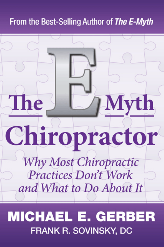## From the Best-Selling Author of The E-Myth



## **MICHAEL E. GERBER** FRANK R. SOVINSKY, DC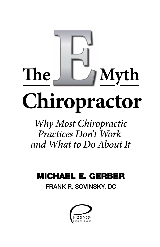# **Myth** The

## Chiropractor

## **Why Most Chiropractic Practices Don't Work** and What to Do About It

### **MICHAEL E. GERBER**

**FRANK R. SOVINSKY, DC** 

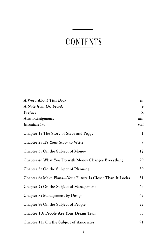## **C O N T E N T S**

| A Word About This Book                                    | iii              |
|-----------------------------------------------------------|------------------|
| A Note from Dr. Frank                                     | $\boldsymbol{v}$ |
| Preface                                                   | ix               |
| Acknowledgments                                           | xiii             |
| Introduction                                              | xvii             |
| Chapter 1: The Story of Steve and Peggy                   | 1                |
| Chapter 2: It's Your Story to Write                       | 9                |
| Chapter 3: On the Subject of Money                        | 17               |
| Chapter 4: What You Do with Money Changes Everything      | 29               |
| Chapter 5: On the Subject of Planning                     | 39               |
| Chapter 6: Make Plans—Your Future Is Closer Than It Looks | 51               |
| Chapter 7: On the Subject of Management                   | 63               |
| Chapter 8: Management by Design                           | 69               |
| Chapter 9: On the Subject of People                       | 77               |
| Chapter 10: People Are Your Dream Team                    | 83               |
| Chapter 11: On the Subject of Associates                  | 91               |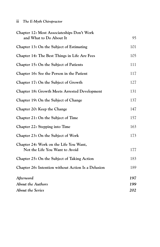| Chapter 12: Most Associateships Don't Work<br>and What to Do About It    | 95  |
|--------------------------------------------------------------------------|-----|
| Chapter 13: On the Subject of Estimating                                 | 101 |
| Chapter 14: The Best Things in Life Are Fees                             | 105 |
| Chapter 15: On the Subject of Patients                                   | 111 |
| Chapter 16: See the Person in the Patient                                | 117 |
| Chapter 17: On the Subject of Growth                                     | 127 |
| <b>Chapter 18: Growth Meets Arrested Development</b>                     | 131 |
| Chapter 19: On the Subject of Change                                     | 137 |
| Chapter 20: Keep the Change                                              | 147 |
| Chapter 21: On the Subject of Time                                       | 157 |
| Chapter 22: Stepping into Time                                           | 163 |
| Chapter 23: On the Subject of Work                                       | 173 |
| Chapter 24: Work on the Life You Want,<br>Not the Life You Want to Avoid | 177 |
| Chapter 25: On the Subject of Taking Action                              | 183 |
| Chapter 26: Intention without Action Is a Delusion                       | 189 |
| Afterword                                                                | 197 |
| <b>About the Authors</b>                                                 | 199 |
| <b>About the Series</b>                                                  | 202 |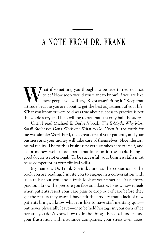### **A N O T E F R O M D R . F R A N K**

What if something you thought to be true turned out not<br>to be? How soon would you want to know? If you are like<br>most people you will say, "Right away! Bring it!" Keep that to be? How soon would you want to know? If you are like most people you will say, "Right away! Bring it!" Keep that attitude because you are about to get the best adjustment of your life. What you know or were told was true about success in practice is not the whole story, and I am willing to bet that it is only half the story.

Until I read Michael E. Gerber's book, *The E-Myth: Why Most Small Businesses Don't Work and What to Do About It,* the truth for me was simple: Work hard, take great care of your patients, and your business and your money will take care of themselves. Nice illusion, brutal reality. The truth is business never just takes care of itself, and as for money, well, more about that later on in the book. Being a good doctor is not enough. To be successful, your business skills must be as competent as your clinical skills.

My name is Dr. Frank Sovinsky and as the co-author of the book you are reading, I invite you to engage in a conversation with us, a talk about you, and a fresh look at your practice. As a chiropractor, I know the pressure you face as a doctor. I know how it feels when patients reject your care plan or drop out of care before they get the results they want. I have felt the anxiety that a lack of new patients brings. I know what it is like to have staff mentally quit but never physically leave—or to be held hostage in your own office because you don't know how to do the things they do. I understand your frustration with insurance companies, your stress over taxes,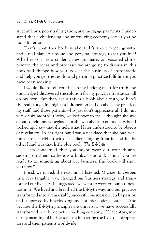student loans, potential litigation, and mortgage payments. I understand that a challenging and unforgiving economy leaves you no room for error.

That's what this book is about. It's about hope, growth, and a real plan. A unique and personal strategy to set you free! Whether you are a student, new graduate, or seasoned chiropractor, the ideas and processes we are going to discuss in this book will change how you look at the business of chiropractic and help you get the results and personal practice fulfillment you have been seeking.

I would like to tell you that in my lifelong quest for truth and knowledge I discovered the solution for my practice frustration all on my own. But then again this is a book about truth, so here's the real story. One night as I droned on and on about my practice, my staff, and those patients who just don't appreciate all I do, my wife of six months, Cathy, walked over to me. I thought she was about to refill my wineglass, but she was about to empty it. When I looked up, I saw that she held what I later understood to be objects of revelation. In her right hand was a necklace that she had fashioned from a ribbon with a pacifier hanging from it, and in the other hand was that little blue book, *The E-Myth.*

"I am concerned that you might wear out your thumbs sucking on them, so here is a binky," she said, "and if you are ready to do something about our business, this book will show you how."

I read, we talked, she read, and I listened. Michael E. Gerber, in a very tangible way, changed our business strategy and transformed our lives. As he suggested, we went to work on our business, not in it. We lived and breathed the E-Myth way, and our practice transformed into a remarkably successful business driven by passion and supported by interlocking and interdependent systems. And because the E-Myth principles are universal, we have successfully transformed our chiropractic coaching company, DC Mentors, into a truly meaningful business that is impacting the lives of chiropractors and their patients worldwide.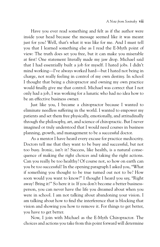Have you ever read something and felt as if the author were inside your head because the message seemed like it was meant just for you? Well, that's what it was like for me. And I must tell you that I learned something else as I read the E-Myth point of view: The truth does set you free, but it can make you miserable at first! One statement literally made my jaw drop. Michael said that I had essentially built a job for myself. I hated jobs. I didn't mind working—I've always worked hard—but I hated not being in charge, not really feeling in control of my own destiny. In school I thought that being a chiropractor and owning my own practice would finally give me that control. Michael was correct that I not only had a job, I was working for a lunatic who had no idea how to be an effective business owner.

Just like you, I became a chiropractor because I wanted to eliminate needless suffering in the world. I wanted to empower my patients and set them free physically, emotionally, and attitudinally through the philosophy, art, and science of chiropractic. But I never imagined or truly understood that I would need courses in business planning, growth, and management to be a successful doctor.

As a mentor I have heard every excuse for practice mediocrity. Doctors tell me that they want to be busy and successful, but not too busy. Ironic, isn't it? Success, like health, is a natural consequence of making the right choices and taking the right actions. Can you really be too healthy? Of course not, so how on earth can you be too successful? In the opening paragraph I asked you, "What if something you thought to be true turned out not to be? How soon would you want to know?" I thought I heard you say, "Right away! Bring it!" So here it is: If you don't become a better businessperson, you can never have the life you dreamed about when you were in school. I am not talking about abandoning your vision. I am talking about how to find the interference that is blocking that vision and showing you how to remove it. For things to get better, you have to get better.

Now, I join with Michael as the E-Myth Chiropractor. The choices and actions you take from this point forward will determine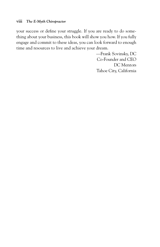your success or define your struggle. If you are ready to do something about your business, this book will show you how. If you fully engage and commit to these ideas, you can look forward to enough time and resources to live and achieve your dream.

> —Frank Sovinsky, DC Co-Founder and CEO DC Mentors Tahoe City, California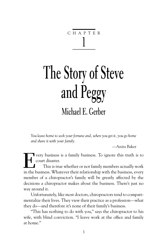$$
\begin{array}{c}\nC \text{ H } A \text{ P } T \text{ E } R \\
1\n\end{array}
$$

## **Michael E. Gerber The Story of Steve and Peggy**

*You leave home to seek your fortune and, when you get it, you go home and share it with your family.*

—Anita Baker

**E**very business is a family business. To ignore this truth is to  $\blacksquare$  court disaster.

This is true whether or not family members actually work in the business. Whatever their relationship with the business, every member of a chiropractor's family will be greatly affected by the decisions a chiropractor makes about the business. There's just no way around it.

Unfortunately, like most doctors, chiropractors tend to compartmentalize their lives. They view their practice as a profession—what they do—and therefore it's none of their family's business.

"This has nothing to do with you," says the chiropractor to his wife, with blind conviction. "I leave work at the office and family at home."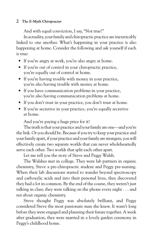And with equal conviction, I say, "Not true!"

In actuality, your family and chiropractic practice are inextricably linked to one another. What's happening in your practice is also happening at home. Consider the following and ask yourself if each is true:

- If you're angry at work, you're also angry at home.
- If you're out of control in your chiropractic practice, you're equally out of control at home.
- If you're having trouble with money in your practice, you're also having trouble with money at home.
- If you have communication problems in your practice, you're also having communication problems at home.
- If you don't trust in your practice, you don't trust at home.
- If you're secretive in your practice, you're equally secretive at home.

And you're paying a huge price for it!

The truth is that your practice and your family are one—and you're the link. Or you should be. Because if you try to keep your practice and your family apart, if your practice and your family are strangers, you will effectively create two separate worlds that can never wholeheartedly serve each other. Two worlds that split each other apart.

Let me tell you the story of Steve and Peggy Walsh.

The Walshes met in college. They were lab partners in organic chemistry, Steve a pre-chiropractic student and Peggy pre-nursing. When their lab discussions started to wander beyond spectroscopy and carboxylic acids and into their personal lives, they discovered they had a lot in common. By the end of the course, they weren't just talking in class; they were talking on the phone every night . . . and *not* about organic chemistry.

Steve thought Peggy was absolutely brilliant, and Peggy considered Steve the most passionate man she knew. It wasn't long before they were engaged and planning their future together. A week after graduation, they were married in a lovely garden ceremony in Peggy's childhood home.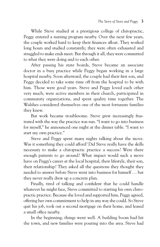While Steve studied at a prestigious college of chiropractic, Peggy entered a nursing program nearby. Over the next few years, the couple worked hard to keep their finances afloat. They worked long hours and studied constantly; they were often exhausted and struggled to make ends meet. But through it all, they were committed to what they were doing and to each other.

After passing his state boards, Steve became an associate doctor in a busy practice while Peggy began working in a large hospital nearby. Soon afterward, the couple had their first son, and Peggy decided to take some time off from the hospital to be with him. Those were good years. Steve and Peggy loved each other very much, were active members in their church, participated in community organizations, and spent quality time together. The Walshes considered themselves one of the most fortunate families they knew.

But work became troublesome. Steve grew increasingly frustrated with the way the practice was run. "I want to go into business for myself," he announced one night at the dinner table. "I want to start my own practice."

Steve and Peggy spent many nights talking about the move. Was it something they could afford? Did Steve really have the skills necessary to make a chiropractic practice a success? Were there enough patients to go around? What impact would such a move have on Peggy's career at the local hospital, their lifestyle, their son, their relationship? They asked all the questions they thought they needed to answer before Steve went into business for himself … but they never really drew up a concrete plan.

Finally, tired of talking and confident that he could handle whatever he might face, Steve committed to starting his own chiropractic practice. Because she loved and supported him, Peggy agreed, offering her own commitment to help in any way she could. So Steve quit his job, took out a second mortgage on their home, and leased a small office nearby.

In the beginning, things went well. A building boom had hit the town, and new families were pouring into the area. Steve had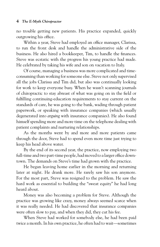no trouble getting new patients. His practice expanded, quickly outgrowing his office.

Within a year, Steve had employed an office manager, Clarissa, to run the front desk and handle the administrative side of the business. He also hired a bookkeeper, Tim, to handle the finances. Steve was ecstatic with the progress his young practice had made. He celebrated by taking his wife and son on vacation to Italy.

Of course, managing a business was more complicated and timeconsuming than working for someone else. Steve not only supervised all the jobs Clarissa and Tim did, but also was continually looking for work to keep everyone busy. When he wasn't scanning journals of chiropractic to stay abreast of what was going on in the field or fulfilling continuing-education requirements to stay current on the standards of care, he was going to the bank, wading through patient paperwork, or speaking with insurance companies (which usually degenerated into *arguing* with insurance companies). He also found himself spending more and more time on the telephone dealing with patient complaints and nurturing relationships.

As the months went by and more and more patients came through the door, Steve had to spend even more time just trying to keep his head above water.

By the end of its second year, the practice, now employing two full-time and two part-time people, had moved to a larger office downtown. The demands on Steve's time had grown with the practice.

He began leaving home earlier in the morning and returning later at night. He drank more. He rarely saw his son anymore. For the most part, Steve was resigned to the problem. He saw the hard work as essential to building the "sweat equity" he had long heard about.

Money was also becoming a problem for Steve. Although the practice was growing like crazy, money always seemed scarce when it was really needed. He had discovered that insurance companies were often slow to pay, and when they did, they cut his fee.

When Steve had worked for somebody else, he had been paid twice a month. In his own practice, he often had to wait—sometimes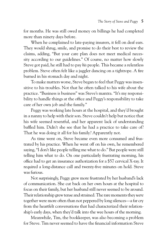for months. He was still owed money on billings he had completed more than ninety days before.

When he complained to late-paying insurers, it fell on deaf ears. They would shrug, smile, and promise to do their best to review the claims, adding, "But your care plan does not meet medical necessity according to our guidelines." Of course, no matter how slowly Steve got paid, he still had to pay *his* people. This became a relentless problem. Steve often felt like a juggler dancing on a tightrope. A fire burned in his stomach day and night.

To make matters worse, Steve began to feel that Peggy was insensitive to his troubles. Not that he often talked to his wife about the practice. "Business is business" was Steve's mantra. "It's my responsibility to handle things at the office and Peggy's responsibility to take care of her own job and the family."

Peggy was working late hours at the hospital, and they'd brought in a nanny to help with their son. Steve couldn't help but notice that his wife seemed resentful, and her apparent lack of understanding baffled him. Didn't she see that he had a practice to take care of? That he was doing it all for his family? Apparently not.

As time went on, Steve became even more consumed and frustrated by his practice. When he went off on his own, he remembered saying, "I don't like people telling me what to do." But people were still telling him what to do. On one particularly frustrating morning, his office had to get an insurance authorization for a \$57 cervical X-ray. It required a long-distance call and twenty-five minutes on hold. Steve was furious.

Not surprisingly, Peggy grew more frustrated by her husband's lack of communication. She cut back on her own hours at the hospital to focus on their family, but her husband still never seemed to be around. Their relationship grew tense and strained. The rare moments they *were* together were more often than not peppered by long silences—a far cry from the heartfelt conversations that had characterized their relationship's early days, when they'd talk into the wee hours of the morning.

Meanwhile, Tim, the bookkeeper, was also becoming a problem for Steve. Tim never seemed to have the financial information Steve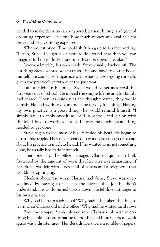needed to make decisions about payroll, patient billing, and general operating expenses, let alone how much money was available for Steve and Peggy's living expenses.

When questioned, Tim would shift his gaze to his feet and say, "Listen, Steve, I've got a lot more to do around here than you can imagine. It'll take a little more time. Just don't press me, okay?"

Overwhelmed by his own work, Steve usually backed off. The last thing Steve wanted was to upset Tim and have to do the books himself. He could also empathize with what Tim was going through, given the practice's growth over the past year.

Late at night in his office, Steve would sometimes recall his first years out of school. He missed the simple life he and his family had shared. Then, as quickly as the thoughts came, they would vanish. He had work to do and no time for daydreaming. "Having my own practice is a great thing," he would remind himself. "I simply have to apply myself, as I did in school, and get on with the job. I have to work as hard as I always have when something needed to get done."

Steve began to live most of his life inside his head. He began to distrust his people. They never seemed to work hard enough or to care about his practice as much as he did. If he wanted to go get something done, he usually had to do it himself.

Then one day, the office manager, Clarissa, quit in a huff, frustrated by the amount of work that her boss was demanding of her. Steve was left with a desk full of papers and a telephone that wouldn't stop ringing.

Clueless about the work Clarissa had done, Steve was overwhelmed by having to pick up the pieces of a job he didn't understand. His world turned upside down. He felt like a stranger in his own practice.

Why had he been such a fool? Why hadn't he taken the time to learn what Clarissa did in the office? Why had he waited until now?

Ever the trouper, Steve plowed into Clarissa's job with everything he could muster. What he found shocked him. Clarissa's work space was a disaster area! Her desk drawers were a jumble of papers,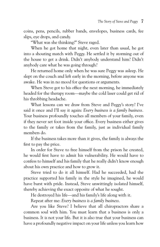coins, pens, pencils, rubber bands, envelopes, business cards, fee slips, eye drops, and candy.

"What was she thinking?" Steve raged.

When he got home that night, even later than usual, he got into a shouting match with Peggy. He settled it by storming out of the house to get a drink. Didn't anybody understand him? Didn't anybody care what he was going through?

He returned home only when he was sure Peggy was asleep. He slept on the couch and left early in the morning, before anyone was awake. He was in no mood for questions or arguments.

When Steve got to his office the next morning, he immediately headed for the therapy room—maybe the cold laser could get rid of his throbbing headache.

What lessons can we draw from Steve and Peggy's story? I've said it once and I'll say it again: *Every business is a family business.* Your business profoundly touches all members of your family, even if they never set foot inside your office. Every business either gives to the family or takes from the family, just as individual family members do.

If the business takes more than it gives, the family is always the first to pay the price.

In order for Steve to free himself from the prison he created, he would first have to admit his vulnerability. He would have to confess to himself and his family that he really didn't know enough about his own practice and how to grow it.

Steve tried to do it all himself. Had he succeeded, had the practice supported his family in the style he imagined, he would have burst with pride. Instead, Steve unwittingly isolated himself, thereby achieving the exact opposite of what he sought.

He destroyed his life—and his family's life along with it.

Repeat after me: *Every business is a family business.*

Are you like Steve? I believe that all chiropractors share a common soul with him. You must learn that a business is only a business. It is not your life. But it is also true that your business can have a profoundly negative impact on your life unless you learn how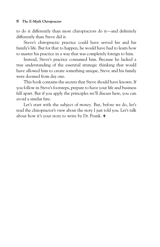to do it differently than most chiropractors do it—and definitely differently than Steve did it.

Steve's chiropractic practice could have served his and his family's life. But for that to happen, he would have had to learn how to master his practice in a way that was completely foreign to him.

Instead, Steve's practice consumed him. Because he lacked a true understanding of the essential strategic thinking that would have allowed him to create something unique, Steve and his family were doomed from day one.

This book contains the secrets that Steve should have known. If you follow in Steve's footsteps, prepare to have your life and business fall apart. But if you apply the principles we'll discuss here, you can avoid a similar fate.

Let's start with the subject of *money.* But, before we do, let's read the chiropractor's view about the story I just told you. Let's talk about how it's your story to write by Dr. Frank.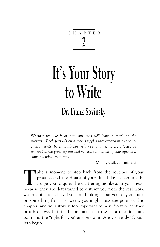$$
\begin{array}{c}\n C \ \overline{\text{H A P T E}} \\
 \text{R} \\
 \text{L}\n \end{array}
$$

## **It's Your Story to Write**

### **Dr. Frank Sovinsky**

*Whether we like it or not, our lives will leave a mark on the universe. Each person's birth makes ripples that expand in our social environments: parents, siblings, relatives, and friends are affected by us, and as we grow up our actions leave a myriad of consequences, some intended, most not.*

—Mihaly Csikszentmihalyi

Take a moment to step back from the routines of your<br>practice and the rituals of your life. Take a deep breath.<br>I urge you to quiet the chattering monkeys in your head<br>heavyes they are determined to district you from the r practice and the rituals of your life. Take a deep breath. I urge you to quiet the chattering monkeys in your head because they are determined to distract you from the real work we are doing together. If you are thinking about your day or stuck on something from last week, you might miss the point of this chapter, and your story is too important to miss. So take another breath or two. It is in this moment that the right questions are born and the "right for you" answers wait. Are you ready? Good, let's begin.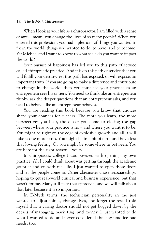When I look at your life as a chiropractor, I am filled with a sense of awe. I mean, you change the lives of so many people! When you entered this profession, you had a plethora of things you wanted to fix in the world, things you wanted to do, to have, and to become. Yet Michael and I want to know: to what scale do you want to impact the world?

Your pursuit of happiness has led you to this path of service called chiropractic practice. And it is on this path of service that you will fulfill your destiny. Yet this path has exposed, or will expose, an important truth. If you are going to make a difference and contribute to change in the world, then you must see your practice as an entrepreneur sees his or hers. You need to think like an entrepreneur thinks, ask the deeper questions that an entrepreneur asks, and you need to behave like an entrepreneur behaves.

You are reading this book because you know that choices shape your chances for success. The more you learn, the more perspectives you hear, the closer you come to closing the gap between where your practice is now and where you want it to be. You might be right on the edge of explosive growth and all it will take is one more push. You might be in a bit of a rut and have lost that loving feeling. Or you might be somewhere in between. You are here for the right reason—yours.

In chiropractic college I was obsessed with opening my own practice. All I could think about was getting through the academic gauntlet and on with real life. I just wanted to open those doors and let the people come in. Other classmates chose associateships, hoping to get real-world clinical and business experience, but that wasn't for me. Many still take that approach, and we will talk about that later because it is so important.

In E-Myth terms, the technician personality in me just wanted to adjust spines, change lives, and forget the rest. I told myself that a caring doctor should not get bogged down by the details of managing, marketing, and money. I just wanted to do what I wanted to do and never considered that my practice had needs, too.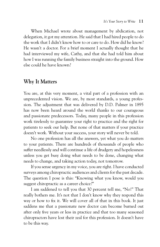When Michael wrote about management by abdication, not delegation, it got my attention. He said that I had hired people to do the work that I didn't know how to or care to do. How did he know? He wasn't a doctor. For a brief moment I actually thought that he had interviewed my wife, Cathy, and that she had told him about how I was running the family business straight into the ground. How else could he have known?

#### **Why It Matters**

You are, at this very moment, a vital part of a profession with an unprecedented vision. We are, by most standards, a young profession. The adjustment that was delivered by D.D. Palmer in 1895 has now been heard around the world thanks to our courageous and passionate predecessors. Today, many people in this profession work tirelessly to guarantee your right to practice and the right for patients to seek our help. But none of that matters if your practice doesn't work. Without your success, your story will never be told.

No one profession has all the answers, yet what you do matters to your patients. There are hundreds of thousands of people who suffer needlessly and will continue a life of drudgery and hopelessness unless you get busy doing what needs to be done, changing what needs to change, and taking action today, not tomorrow.

If you sense urgency in my voice, you are right. I have conducted surveys among chiropractic audiences and clients for the past decade. The question I pose is this: "Knowing what you know, would you suggest chiropractic as a career choice?"

I am saddened to tell you that 30 percent tell me, "No!" That really bothers me. It's not that I don't know why they respond this way or how to fix it. We will cover all of that in this book. It just saddens me that a passionate new doctor can become burned out after only five years or less in practice and that too many seasoned chiropractors have lost their zeal for this profession. It doesn't have to be this way.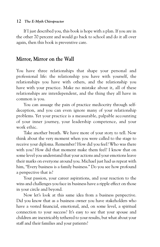If I just described you, this book is hope with a plan. If you are in the other 70 percent and would go back to school and do it all over again, then this book is preventive care.

#### **Mirror, Mirror on the Wall**

You have three relationships that shape your personal and professional life: the relationship you have with yourself, the relationships you have with others, and the relationship you have with your practice. Make no mistake about it, all of these relationships are interdependent, and the thing they all have in common is you.

You can assuage the pain of practice mediocrity through selfdeception, and you can even ignore many of your relationship problems. Yet your practice is a measurable, palpable accounting of your inner journey, your leadership competence, and your work ethic.

Take another breath. We have more of your story to tell. Now think about the very moment when you were called to the stage to receive your diploma. Remember? How did you feel? Who was there with you? How did that moment make them feel? I know that on some level you understand that your actions and your emotions leave their marks on everyone around you. Michael just had us repeat with him, "Every business is a family business." Do you see how profound a perspective that is?

Your passion, your career aspirations, and your reaction to the wins and challenges you face in business have a ripple effect on those in your circle and beyond.

Now let's look at this same idea from a business perspective. Did you know that as a business owner you have stakeholders who have a vested financial, emotional, and, on some level, a spiritual connection to your success? It's easy to see that your spouse and children are inextricably tethered to your results, but what about your staff and their families and your patients?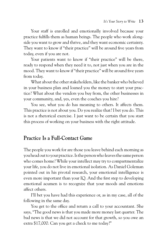Your staff is enrolled and emotionally involved because your practice fulfills them as human beings. The people who work alongside you want to grow and thrive, and they want economic certainty. They want to know if "their practice" will be around five years from today, even if you are not.

Your patients want to know if "their practice" will be there, ready to respond when they need it to, not just when you are in the mood. They want to know if "their practice" will be around five years from today.

What about the other stakeholders, like the banker who believed in your business plan and loaned you the money to start your practice? What about the vendors you buy from, the other businesses in your community, and, yes, even the coaches you hire?

You see, what you do has meaning to others. It affects them. This practice is not about you. Do you realize that? I bet you do. This is not a rhetorical exercise. I just want to be certain that you start this process of working on your business with the right attitude.

#### **Practice Is a Full-Contact Game**

The people you work for are those you leave behind each morning as you head out to your practice. Is the person who leaves the same person who comes home? While your intellect may try to compartmentalize your life, you do not live in emotional isolation. As Daniel Goleman pointed out in his pivotal research, your emotional intelligence is even more important than your IQ. And the first step to developing emotional acumen is to recognize that your moods and emotions affect others.

I'll bet you have had this experience or, as in my case, all of the following in the same day.

You get to the office and return a call to your accountant. She says, "The good news is that you made more money last quarter. The bad news is that we did not account for that growth, so you owe an extra \$17,000. Can you get a check to me today?"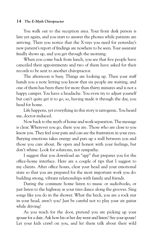You walk out to the reception area. Your front desk person is late yet again, and you start to answer the phones while patients are arriving. Then you notice that the X-rays you need for yesterday's new patient's report of findings are nowhere to be seen. Your assistant finally shows up, and you get through the morning.

When you come back from lunch, you see that five people have canceled their appointments and two of them have asked for their records to be sent to another chiropractor.

The afternoon is busy. Things are looking up. Then your staff hands you a note letting you know that six people are waiting, and one of them has been there for more than thirty minutes and is not a happy camper. You have a headache. You even try to adjust yourself but can't quite get it to go, so, having made it through the day, you head for home.

Life happens, yet everything in this story is iatrogenic. You heard me, doctor-induced.

Now back to the myth of home and work separation. The message is clear. Wherever you go, there you are. Those who are close to you know you. They feel your pain and can see the frustration in your eyes. Burying emotions takes energy and puts up a wall between you and those you care about. Be open and honest with your feelings, but don't whine. Look for solutions, not sympathy.

I suggest that you download an "app" that prepares you for the office-home interface. Here are a couple of tips that I suggest to my clients. After office hours, clear your head and your emotional state so that you are prepared for the most important work you do: building strong, vibrant relationships with family and friends.

During the commute home listen to music or audiobooks, or just listen to the highway as your tires dance along the grooves. Sing songs like you do in the shower. What the heck, you are a rock star in your head, aren't you? Just be careful not to play your air guitar while driving!

As you reach for the door, pretend you are picking up your spouse for a date. Ask how his or her day went and listen! See your spouse! Let your kids crawl on you, and let them talk about their wild